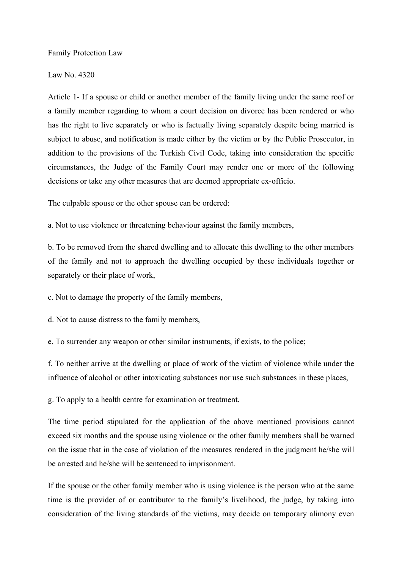Family Protection Law

Law No. 4320

Article 1- If a spouse or child or another member of the family living under the same roof or a family member regarding to whom a court decision on divorce has been rendered or who has the right to live separately or who is factually living separately despite being married is subject to abuse, and notification is made either by the victim or by the Public Prosecutor, in addition to the provisions of the Turkish Civil Code, taking into consideration the specific circumstances, the Judge of the Family Court may render one or more of the following decisions or take any other measures that are deemed appropriate ex-officio.

The culpable spouse or the other spouse can be ordered:

a. Not to use violence or threatening behaviour against the family members,

b. To be removed from the shared dwelling and to allocate this dwelling to the other members of the family and not to approach the dwelling occupied by these individuals together or separately or their place of work,

c. Not to damage the property of the family members,

d. Not to cause distress to the family members,

e. To surrender any weapon or other similar instruments, if exists, to the police;

f. To neither arrive at the dwelling or place of work of the victim of violence while under the influence of alcohol or other intoxicating substances nor use such substances in these places,

g. To apply to a health centre for examination or treatment.

The time period stipulated for the application of the above mentioned provisions cannot exceed six months and the spouse using violence or the other family members shall be warned on the issue that in the case of violation of the measures rendered in the judgment he/she will be arrested and he/she will be sentenced to imprisonment.

If the spouse or the other family member who is using violence is the person who at the same time is the provider of or contributor to the family's livelihood, the judge, by taking into consideration of the living standards of the victims, may decide on temporary alimony even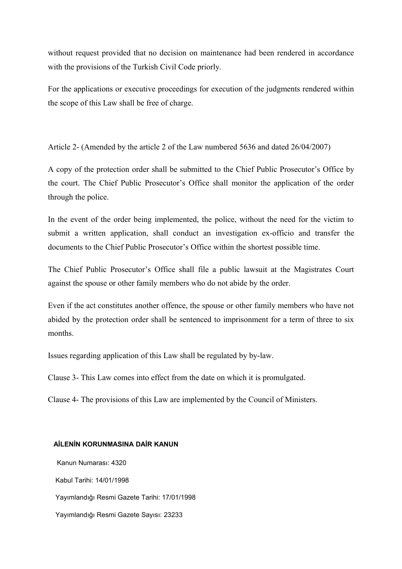without request provided that no decision on maintenance had been rendered in accordance with the provisions of the Turkish Civil Code priorly.

For the applications or executive proceedings for execution of the judgments rendered within the scope of this Law shall be free of charge.

Article 2- (Amended by the article 2 of the Law numbered 5636 and dated 26/04/2007)

A copy of the protection order shall be submitted to the Chief Public Prosecutor's Office by the court. The Chief Public Prosecutor's Office shall monitor the application of the order through the police.

In the event of the order being implemented, the police, without the need for the victim to submit a written application, shall conduct an investigation ex-officio and transfer the documents to the Chief Public Prosecutor's Office within the shortest possible time.

The Chief Public Prosecutor's Office shall file a public lawsuit at the Magistrates Court against the spouse or other family members who do not abide by the order.

Even if the act constitutes another offence, the spouse or other family members who have not abided by the protection order shall be sentenced to imprisonment for a term of three to six months.

Issues regarding application of this Law shall be regulated by by-law.

Clause 3- This Law comes into effect from the date on which it is promulgated.

Clause 4- The provisions of this Law are implemented by the Council of Ministers.

## **AİLENİN KORUNMASINA DAİR KANUN**

Kanun Numarası: 4320 Kabul Tarihi: 14/01/1998 Yayımlandığı Resmi Gazete Tarihi: 17/01/1998 Yayımlandığı Resmi Gazete Sayısı: 23233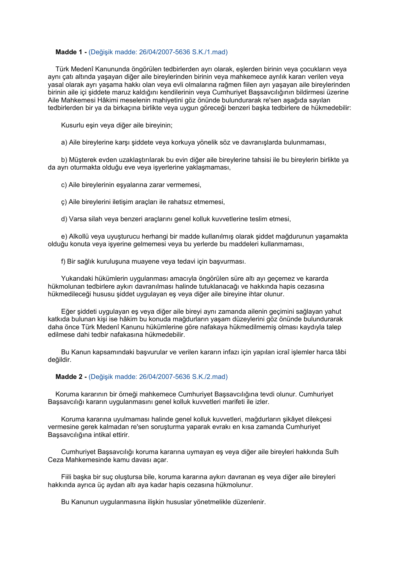## **Madde 1 -** (Değişik madde: 26/04/2007-5636 S.K./1.mad)

Türk Medenî Kanununda öngörülen tedbirlerden ayrı olarak, eşlerden birinin veya çocukların veya aynı çatı altında yaşayan diğer aile bireylerinden birinin veya mahkemece ayrılık kararı verilen veya yasal olarak ayrı yaşama hakkı olan veya evli olmalarına rağmen fiilen ayrı yaşayan aile bireylerinden birinin aile içi şiddete maruz kaldığını kendilerinin veya Cumhuriyet Başsavcılığının bildirmesi üzerine Aile Mahkemesi Hâkimi meselenin mahiyetini göz önünde bulundurarak re'sen aşağıda sayılan tedbirlerden bir ya da birkaçına birlikte veya uygun göreceği benzeri başka tedbirlere de hükmedebilir:

Kusurlu eşin veya diğer aile bireyinin;

a) Aile bireylerine karşı şiddete veya korkuya yönelik söz ve davranışlarda bulunmaması,

b) Müşterek evden uzaklaştırılarak bu evin diğer aile bireylerine tahsisi ile bu bireylerin birlikte ya da ayrı oturmakta olduğu eve veya işyerlerine yaklaşmaması,

c) Aile bireylerinin eşyalarına zarar vermemesi,

ç) Aile bireylerini iletişim araçları ile rahatsız etmemesi,

d) Varsa silah veya benzeri araçlarını genel kolluk kuvvetlerine teslim etmesi,

e) Alkollü veya uyuşturucu herhangi bir madde kullanılmış olarak şiddet mağdurunun yaşamakta olduğu konuta veya işyerine gelmemesi veya bu yerlerde bu maddeleri kullanmaması,

f) Bir sağlık kuruluşuna muayene veya tedavi için başvurması.

Yukarıdaki hükümlerin uygulanması amacıyla öngörülen süre altı ayı geçemez ve kararda hükmolunan tedbirlere aykırı davranılması halinde tutuklanacağı ve hakkında hapis cezasına hükmedileceği hususu şiddet uygulayan eş veya diğer aile bireyine ihtar olunur.

Eğer şiddeti uygulayan eş veya diğer aile bireyi aynı zamanda ailenin geçimini sağlayan yahut katkıda bulunan kişi ise hâkim bu konuda mağdurların yaşam düzeylerini göz önünde bulundurarak daha önce Türk Medenî Kanunu hükümlerine göre nafakaya hükmedilmemiş olması kaydıyla talep edilmese dahi tedbir nafakasına hükmedebilir.

Bu Kanun kapsamındaki başvurular ve verilen kararın infazı için yapılan icraî işlemler harca tâbi değildir.

## **Madde 2 -** (Değişik madde: 26/04/2007-5636 S.K./2.mad)

Koruma kararının bir örneği mahkemece Cumhuriyet Başsavcılığına tevdi olunur. Cumhuriyet Başsavcılığı kararın uygulanmasını genel kolluk kuvvetleri marifeti ile izler.

Koruma kararına uyulmaması halinde genel kolluk kuvvetleri, mağdurların şikâyet dilekçesi vermesine gerek kalmadan re'sen soruşturma yaparak evrakı en kısa zamanda Cumhuriyet Başsavcılığına intikal ettirir.

Cumhuriyet Başsavcılığı koruma kararına uymayan eş veya diğer aile bireyleri hakkında Sulh Ceza Mahkemesinde kamu davası açar.

Fiili başka bir suç oluştursa bile, koruma kararına aykırı davranan eş veya diğer aile bireyleri hakkında ayrıca üç aydan altı aya kadar hapis cezasına hükmolunur.

Bu Kanunun uygulanmasına ilişkin hususlar yönetmelikle düzenlenir.